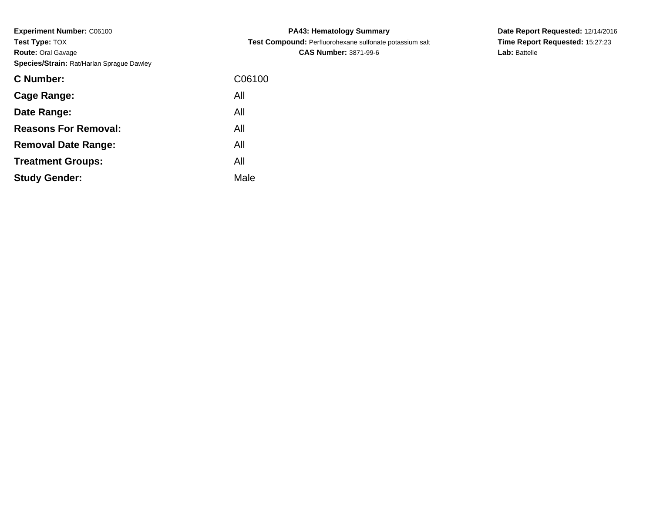| C06100 |
|--------|
| All    |
| All    |
| All    |
| All    |
| All    |
| Male   |
|        |

**PA43: Hematology Summary Test Compound:** Perfluorohexane sulfonate potassium salt**CAS Number:** 3871-99-6

**Date Report Requested:** 12/14/2016 **Time Report Requested:** 15:27:23**Lab:** Battelle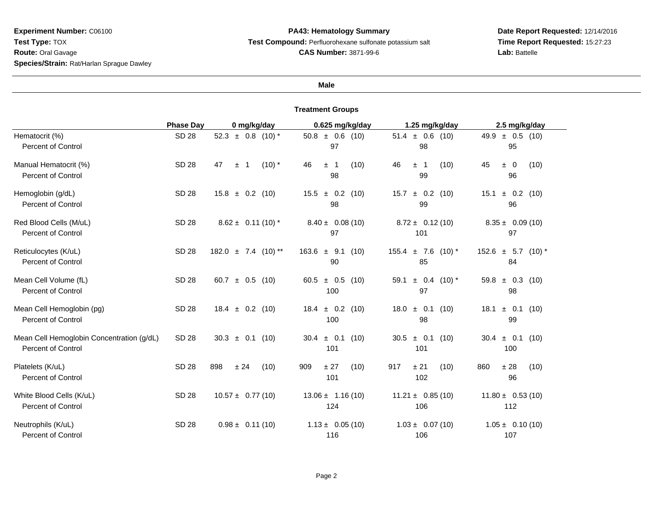## **PA43: Hematology Summary Test Compound:** Perfluorohexane sulfonate potassium salt**CAS Number:** 3871-99-6

# **Date Report Requested:** 12/14/2016 **Time Report Requested:** 15:27:23**Lab:** Battelle

#### **Male**

|                                                                        | <b>Phase Day</b> | 0 mg/kg/day                   | 0.625 mg/kg/day                  | 1.25 mg/kg/day                  | 2.5 mg/kg/day                 |
|------------------------------------------------------------------------|------------------|-------------------------------|----------------------------------|---------------------------------|-------------------------------|
| Hematocrit (%)<br><b>Percent of Control</b>                            | <b>SD 28</b>     | 52.3 $\pm$ 0.8 (10) *         | $50.8 \pm 0.6$ (10)<br>97        | $51.4 \pm 0.6$ (10)<br>98       | $49.9 \pm 0.5$ (10)<br>95     |
| Manual Hematocrit (%)<br><b>Percent of Control</b>                     | <b>SD 28</b>     | 47<br>$(10)$ *<br>-1<br>$\pm$ | 46<br>(10)<br>± 1<br>98          | 46<br>(10)<br>± 1<br>99         | 45<br>(10)<br>$\pm$ 0<br>96   |
| Hemoglobin (g/dL)<br>Percent of Control                                | <b>SD 28</b>     | $15.8 \pm 0.2$ (10)           | $15.5 \pm 0.2$ (10)<br>98        | $\pm$ 0.2 (10)<br>15.7<br>99    | 15.1<br>$\pm$ 0.2 (10)<br>96  |
| Red Blood Cells (M/uL)<br><b>Percent of Control</b>                    | <b>SD 28</b>     | $8.62 \pm 0.11(10)^*$         | $8.40 \pm 0.08(10)$<br>97        | $8.72 \pm 0.12(10)$<br>101      | $8.35 \pm 0.09(10)$<br>97     |
| Reticulocytes (K/uL)<br><b>Percent of Control</b>                      | <b>SD 28</b>     | $182.0 \pm 7.4$ (10) **       | $163.6 \pm 9.1$<br>(10)<br>90    | $155.4 \pm 7.6$ (10) *<br>85    | $152.6 \pm 5.7$ (10) *<br>84  |
| Mean Cell Volume (fL)<br><b>Percent of Control</b>                     | <b>SD 28</b>     | $\pm$ 0.5 (10)<br>60.7        | 60.5 $\pm$ 0.5 (10)<br>100       | 59.1<br>$\pm$ 0.4 (10) *<br>97  | 59.8 $\pm$ 0.3 (10)<br>98     |
| Mean Cell Hemoglobin (pg)<br><b>Percent of Control</b>                 | SD 28            | $18.4 \pm 0.2$<br>(10)        | $\pm$ 0.2<br>18.4<br>(10)<br>100 | $\pm$ 0.1<br>18.0<br>(10)<br>98 | $\pm$ 0.1 (10)<br>18.1<br>99  |
| Mean Cell Hemoglobin Concentration (g/dL)<br><b>Percent of Control</b> | <b>SD 28</b>     | $30.3 \pm 0.1$ (10)           | $30.4 \pm 0.1$<br>(10)<br>101    | $±$ 0.1<br>30.5<br>(10)<br>101  | $\pm$ 0.1 (10)<br>30.4<br>100 |
| Platelets (K/uL)<br><b>Percent of Control</b>                          | <b>SD 28</b>     | 898<br>± 24<br>(10)           | 909<br>± 27<br>(10)<br>101       | 917<br>± 21<br>(10)<br>102      | 860<br>± 28<br>(10)<br>96     |
| White Blood Cells (K/uL)<br><b>Percent of Control</b>                  | SD 28            | $10.57 \pm 0.77(10)$          | $13.06 \pm 1.16(10)$<br>124      | $11.21 \pm 0.85(10)$<br>106     | $11.80 \pm 0.53(10)$<br>112   |
| Neutrophils (K/uL)<br><b>Percent of Control</b>                        | SD 28            | $0.98 \pm 0.11(10)$           | $1.13 \pm 0.05(10)$<br>116       | $1.03 \pm 0.07(10)$<br>106      | $1.05 \pm 0.10(10)$<br>107    |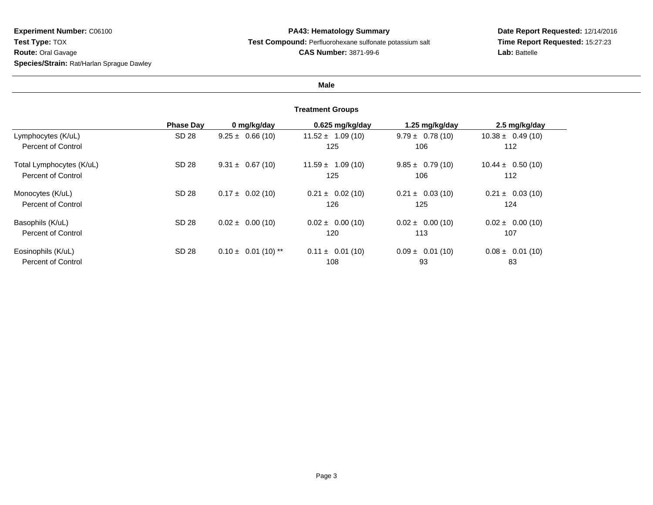## **PA43: Hematology Summary Test Compound:** Perfluorohexane sulfonate potassium salt**CAS Number:** 3871-99-6

# **Date Report Requested:** 12/14/2016 **Time Report Requested:** 15:27:23**Lab:** Battelle

## **Male**

|                          | <b>Phase Dav</b> | 0 mg/kg/day             | 0.625 mg/kg/day      | 1.25 mg/kg/day       | 2.5 mg/kg/day        |
|--------------------------|------------------|-------------------------|----------------------|----------------------|----------------------|
| Lymphocytes (K/uL)       | SD 28            | $9.25 \pm 0.66(10)$     | $11.52 \pm 1.09(10)$ | $9.79 \pm 0.78(10)$  | $10.38 \pm 0.49(10)$ |
| Percent of Control       |                  |                         | 125                  | 106                  | 112                  |
| Total Lymphocytes (K/uL) | SD 28            | $9.31 \pm 0.67(10)$     | $11.59 \pm 1.09(10)$ | $9.85 \pm 0.79(10)$  | $10.44 \pm 0.50(10)$ |
| Percent of Control       |                  |                         | 125                  | 106                  | 112                  |
| Monocytes (K/uL)         | SD 28            | $0.17 \pm 0.02$ (10)    | $0.21 \pm 0.02$ (10) | $0.21 \pm 0.03(10)$  | $0.21 \pm 0.03(10)$  |
| Percent of Control       |                  |                         | 126                  | 125                  | 124                  |
| Basophils (K/uL)         | SD 28            | $0.02 \pm 0.00$ (10)    | $0.02 \pm 0.00$ (10) | $0.02 \pm 0.00$ (10) | $0.02 \pm 0.00$ (10) |
| Percent of Control       |                  |                         | 120                  | 113                  | 107                  |
| Eosinophils (K/uL)       | SD 28            | $0.10 \pm 0.01$ (10) ** | $0.11 \pm 0.01(10)$  | $0.09 \pm 0.01(10)$  | $0.08 \pm 0.01$ (10) |
| Percent of Control       |                  |                         | 108                  | 93                   | 83                   |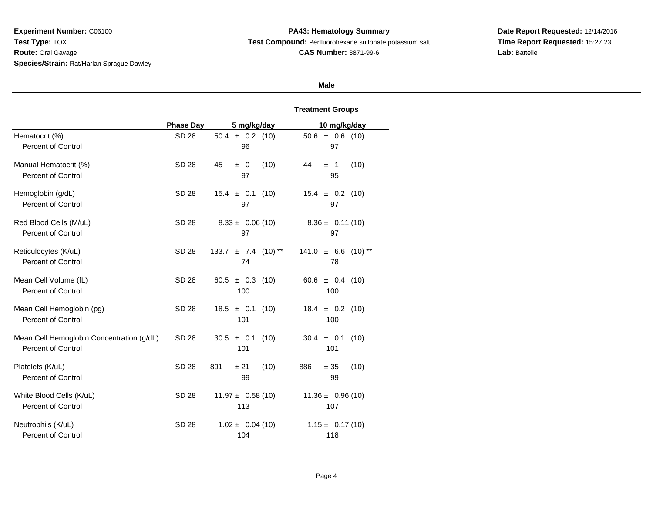**PA43: Hematology Summary Test Compound:** Perfluorohexane sulfonate potassium salt**CAS Number:** 3871-99-6

**Date Report Requested:** 12/14/2016 **Time Report Requested:** 15:27:23**Lab:** Battelle

## **Male**

|                                                                        | <b>Phase Day</b> | 5 mg/kg/day                      | 10 mg/kg/day                       |
|------------------------------------------------------------------------|------------------|----------------------------------|------------------------------------|
| Hematocrit (%)                                                         | SD 28            | $50.4 \pm 0.2$ (10)              | $50.6 \pm 0.6$ (10)                |
| <b>Percent of Control</b>                                              |                  | 96                               | 97                                 |
| Manual Hematocrit (%)<br><b>Percent of Control</b>                     | <b>SD 28</b>     | (10)<br>45<br>$\pm 0$<br>97      | 44<br>(10)<br>±1<br>95             |
| Hemoglobin (g/dL)                                                      | <b>SD 28</b>     | $15.4 \pm 0.1$ (10)              | $15.4 \pm 0.2$ (10)                |
| <b>Percent of Control</b>                                              |                  | 97                               | 97                                 |
| Red Blood Cells (M/uL)                                                 | SD 28            | $8.33 \pm 0.06(10)$              | $8.36 \pm 0.11(10)$                |
| <b>Percent of Control</b>                                              |                  | 97                               | 97                                 |
| Reticulocytes (K/uL)<br>Percent of Control                             | SD 28            | $133.7 \pm 7.4$ (10) **<br>74    | $141.0 \pm 6.6$<br>$(10)$ **<br>78 |
| Mean Cell Volume (fL)                                                  | <b>SD 28</b>     | 60.5 $\pm$ 0.3 (10)              | 60.6 $\pm$ 0.4 (10)                |
| Percent of Control                                                     |                  | 100                              | 100                                |
| Mean Cell Hemoglobin (pg)<br><b>Percent of Control</b>                 | SD 28            | $18.5 \pm 0.1$<br>(10)<br>101    | $18.4 \pm 0.2$ (10)<br>100         |
| Mean Cell Hemoglobin Concentration (g/dL)<br><b>Percent of Control</b> | SD 28            | 30.5<br>$\pm$ 0.1<br>(10)<br>101 | $30.4 \pm 0.1$<br>(10)<br>101      |
| Platelets (K/uL)<br><b>Percent of Control</b>                          | <b>SD 28</b>     | (10)<br>891<br>± 21<br>99        | (10)<br>886<br>$\pm$ 35<br>99      |
| White Blood Cells (K/uL)                                               | <b>SD 28</b>     | $11.97 \pm 0.58(10)$             | $11.36 \pm 0.96(10)$               |
| Percent of Control                                                     |                  | 113                              | 107                                |
| Neutrophils (K/uL)                                                     | SD 28            | $1.02 \pm 0.04(10)$              | $1.15 \pm 0.17(10)$                |
| <b>Percent of Control</b>                                              |                  | 104                              | 118                                |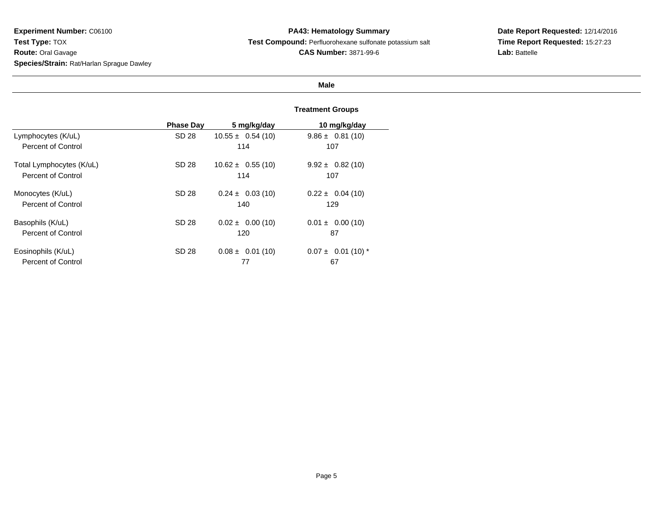**PA43: Hematology Summary Test Compound:** Perfluorohexane sulfonate potassium salt**CAS Number:** 3871-99-6

**Date Report Requested:** 12/14/2016 **Time Report Requested:** 15:27:23**Lab:** Battelle

## **Male**

|                          | <b>Phase Day</b> | 5 mg/kg/day          | 10 mg/kg/day           |
|--------------------------|------------------|----------------------|------------------------|
| Lymphocytes (K/uL)       | SD 28            | $10.55 \pm 0.54(10)$ | $9.86 \pm 0.81(10)$    |
| Percent of Control       |                  | 114                  | 107                    |
| Total Lymphocytes (K/uL) | SD 28            | $10.62 \pm 0.55(10)$ | $9.92 \pm 0.82$ (10)   |
| Percent of Control       |                  | 114                  | 107                    |
| Monocytes (K/uL)         | SD 28            | $0.24 \pm 0.03(10)$  | $0.22 \pm 0.04$ (10)   |
| Percent of Control       |                  | 140                  | 129                    |
| Basophils (K/uL)         | SD 28            | $0.02 \pm 0.00$ (10) | $0.01 \pm 0.00$ (10)   |
| Percent of Control       |                  | 120                  | 87                     |
| Eosinophils (K/uL)       | SD 28            | $0.08 \pm 0.01(10)$  | $0.07 \pm 0.01$ (10) * |
| Percent of Control       |                  | 77                   | 67                     |